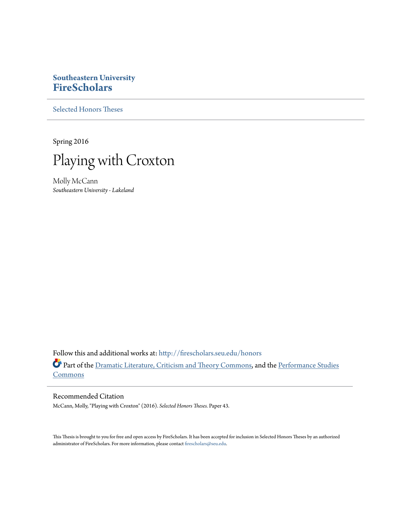## **Southeastern University [FireScholars](http://firescholars.seu.edu?utm_source=firescholars.seu.edu%2Fhonors%2F43&utm_medium=PDF&utm_campaign=PDFCoverPages)**

[Selected Honors Theses](http://firescholars.seu.edu/honors?utm_source=firescholars.seu.edu%2Fhonors%2F43&utm_medium=PDF&utm_campaign=PDFCoverPages)

Spring 2016



Molly McCann *Southeastern University - Lakeland*

Follow this and additional works at: [http://firescholars.seu.edu/honors](http://firescholars.seu.edu/honors?utm_source=firescholars.seu.edu%2Fhonors%2F43&utm_medium=PDF&utm_campaign=PDFCoverPages) Part of the [Dramatic Literature, Criticism and Theory Commons](http://network.bepress.com/hgg/discipline/555?utm_source=firescholars.seu.edu%2Fhonors%2F43&utm_medium=PDF&utm_campaign=PDFCoverPages), and the [Performance Studies](http://network.bepress.com/hgg/discipline/556?utm_source=firescholars.seu.edu%2Fhonors%2F43&utm_medium=PDF&utm_campaign=PDFCoverPages) [Commons](http://network.bepress.com/hgg/discipline/556?utm_source=firescholars.seu.edu%2Fhonors%2F43&utm_medium=PDF&utm_campaign=PDFCoverPages)

#### Recommended Citation

McCann, Molly, "Playing with Croxton" (2016). *Selected Honors Theses.* Paper 43.

This Thesis is brought to you for free and open access by FireScholars. It has been accepted for inclusion in Selected Honors Theses by an authorized administrator of FireScholars. For more information, please contact [firescholars@seu.edu](mailto:firescholars@seu.edu).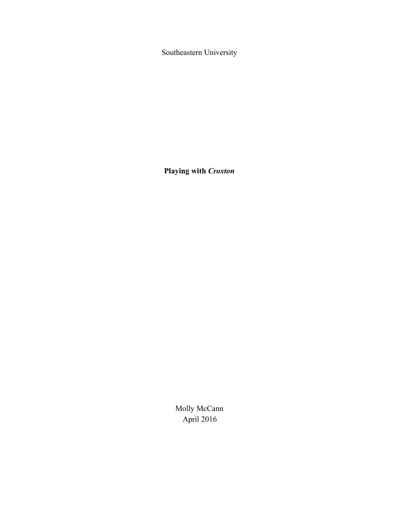Southeastern University

**Playing with** *Croxton*

Molly McCann April 2016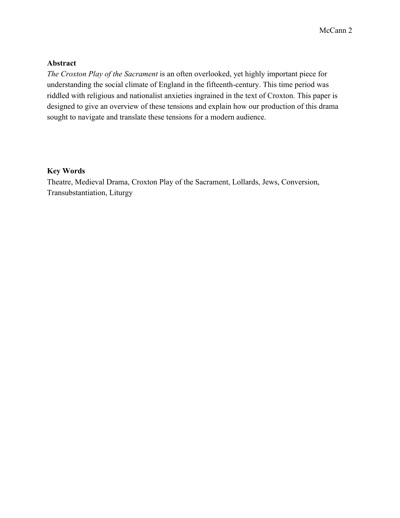### **Abstract**

*The Croxton Play of the Sacrament* is an often overlooked, yet highly important piece for understanding the social climate of England in the fifteenth-century. This time period was riddled with religious and nationalist anxieties ingrained in the text of Croxton. This paper is designed to give an overview of these tensions and explain how our production of this drama sought to navigate and translate these tensions for a modern audience.

### **Key Words**

Theatre, Medieval Drama, Croxton Play of the Sacrament, Lollards, Jews, Conversion, Transubstantiation, Liturgy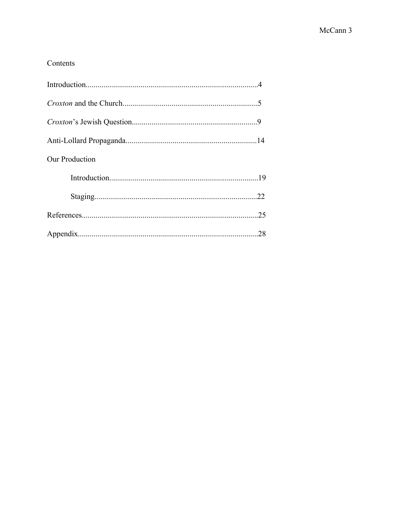## Contents

| Our Production |     |
|----------------|-----|
|                |     |
|                |     |
|                | .25 |
|                |     |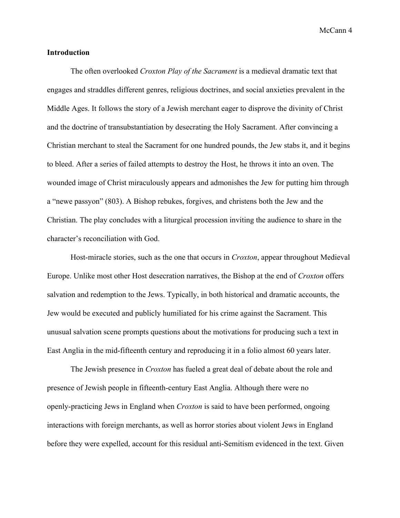#### **Introduction**

The often overlooked *Croxton Play of the Sacrament* is a medieval dramatic text that engages and straddles different genres, religious doctrines, and social anxieties prevalent in the Middle Ages. It follows the story of a Jewish merchant eager to disprove the divinity of Christ and the doctrine of transubstantiation by desecrating the Holy Sacrament. After convincing a Christian merchant to steal the Sacrament for one hundred pounds, the Jew stabs it, and it begins to bleed. After a series of failed attempts to destroy the Host, he throws it into an oven. The wounded image of Christ miraculously appears and admonishes the Jew for putting him through a "newe passyon" (803). A Bishop rebukes, forgives, and christens both the Jew and the Christian. The play concludes with a liturgical procession inviting the audience to share in the character's reconciliation with God.

Host-miracle stories, such as the one that occurs in *Croxton*, appear throughout Medieval Europe. Unlike most other Host desecration narratives, the Bishop at the end of *Croxton* offers salvation and redemption to the Jews. Typically, in both historical and dramatic accounts, the Jew would be executed and publicly humiliated for his crime against the Sacrament. This unusual salvation scene prompts questions about the motivations for producing such a text in East Anglia in the mid-fifteenth century and reproducing it in a folio almost 60 years later.

The Jewish presence in *Croxton* has fueled a great deal of debate about the role and presence of Jewish people in fifteenth-century East Anglia. Although there were no openly-practicing Jews in England when *Croxton* is said to have been performed, ongoing interactions with foreign merchants, as well as horror stories about violent Jews in England before they were expelled, account for this residual anti-Semitism evidenced in the text. Given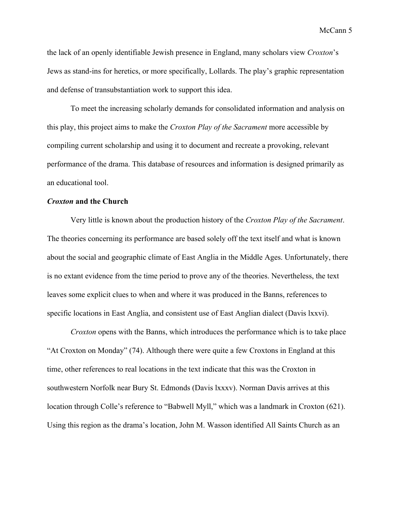the lack of an openly identifiable Jewish presence in England, many scholars view *Croxton*'s Jews as stand-ins for heretics, or more specifically, Lollards. The play's graphic representation and defense of transubstantiation work to support this idea.

To meet the increasing scholarly demands for consolidated information and analysis on this play, this project aims to make the *Croxton Play of the Sacrament* more accessible by compiling current scholarship and using it to document and recreate a provoking, relevant performance of the drama. This database of resources and information is designed primarily as an educational tool.

#### *Croxton* **and the Church**

Very little is known about the production history of the *Croxton Play of the Sacrament*. The theories concerning its performance are based solely off the text itself and what is known about the social and geographic climate of East Anglia in the Middle Ages. Unfortunately, there is no extant evidence from the time period to prove any of the theories. Nevertheless, the text leaves some explicit clues to when and where it was produced in the Banns, references to specific locations in East Anglia, and consistent use of East Anglian dialect (Davis lxxvi).

*Croxton* opens with the Banns, which introduces the performance which is to take place "At Croxton on Monday" (74). Although there were quite a few Croxtons in England at this time, other references to real locations in the text indicate that this was the Croxton in southwestern Norfolk near Bury St. Edmonds (Davis lxxxv). Norman Davis arrives at this location through Colle's reference to "Babwell Myll," which was a landmark in Croxton (621). Using this region as the drama's location, John M. Wasson identified All Saints Church as an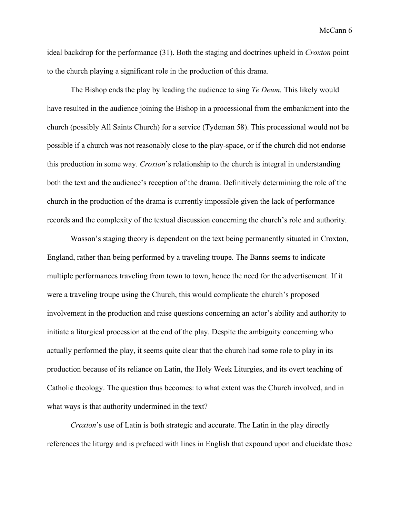ideal backdrop for the performance (31). Both the staging and doctrines upheld in *Croxton* point to the church playing a significant role in the production of this drama.

The Bishop ends the play by leading the audience to sing *Te Deum.* This likely would have resulted in the audience joining the Bishop in a processional from the embankment into the church (possibly All Saints Church) for a service (Tydeman 58). This processional would not be possible if a church was not reasonably close to the play-space, or if the church did not endorse this production in some way. *Croxton*'s relationship to the church is integral in understanding both the text and the audience's reception of the drama. Definitively determining the role of the church in the production of the drama is currently impossible given the lack of performance records and the complexity of the textual discussion concerning the church's role and authority.

Wasson's staging theory is dependent on the text being permanently situated in Croxton, England, rather than being performed by a traveling troupe. The Banns seems to indicate multiple performances traveling from town to town, hence the need for the advertisement. If it were a traveling troupe using the Church, this would complicate the church's proposed involvement in the production and raise questions concerning an actor's ability and authority to initiate a liturgical procession at the end of the play. Despite the ambiguity concerning who actually performed the play, it seems quite clear that the church had some role to play in its production because of its reliance on Latin, the Holy Week Liturgies, and its overt teaching of Catholic theology. The question thus becomes: to what extent was the Church involved, and in what ways is that authority undermined in the text?

*Croxton*'s use of Latin is both strategic and accurate. The Latin in the play directly references the liturgy and is prefaced with lines in English that expound upon and elucidate those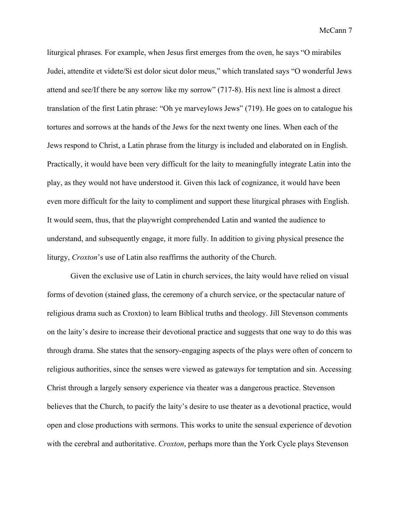liturgical phrases. For example, when Jesus first emerges from the oven, he says "O mirabiles Judei, attendite et videte/Si est dolor sicut dolor meus," which translated says "O wonderful Jews attend and see/If there be any sorrow like my sorrow" (7178). His next line is almost a direct translation of the first Latin phrase: "Oh ye marveylows Jews" (719). He goes on to catalogue his tortures and sorrows at the hands of the Jews for the next twenty one lines. When each of the Jews respond to Christ, a Latin phrase from the liturgy is included and elaborated on in English. Practically, it would have been very difficult for the laity to meaningfully integrate Latin into the play, as they would not have understood it. Given this lack of cognizance, it would have been even more difficult for the laity to compliment and support these liturgical phrases with English. It would seem, thus, that the playwright comprehended Latin and wanted the audience to understand, and subsequently engage, it more fully. In addition to giving physical presence the liturgy, *Croxton*'s use of Latin also reaffirms the authority of the Church.

Given the exclusive use of Latin in church services, the laity would have relied on visual forms of devotion (stained glass, the ceremony of a church service, or the spectacular nature of religious drama such as Croxton) to learn Biblical truths and theology. Jill Stevenson comments on the laity's desire to increase their devotional practice and suggests that one way to do this was through drama. She states that the sensory-engaging aspects of the plays were often of concern to religious authorities, since the senses were viewed as gateways for temptation and sin. Accessing Christ through a largely sensory experience via theater was a dangerous practice. Stevenson believes that the Church, to pacify the laity's desire to use theater as a devotional practice, would open and close productions with sermons. This works to unite the sensual experience of devotion with the cerebral and authoritative. *Croxton*, perhaps more than the York Cycle plays Stevenson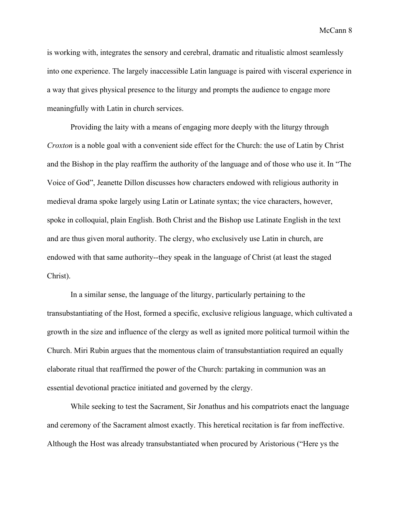is working with, integrates the sensory and cerebral, dramatic and ritualistic almost seamlessly into one experience. The largely inaccessible Latin language is paired with visceral experience in a way that gives physical presence to the liturgy and prompts the audience to engage more meaningfully with Latin in church services.

Providing the laity with a means of engaging more deeply with the liturgy through *Croxton* is a noble goal with a convenient side effect for the Church: the use of Latin by Christ and the Bishop in the play reaffirm the authority of the language and of those who use it. In "The Voice of God", Jeanette Dillon discusses how characters endowed with religious authority in medieval drama spoke largely using Latin or Latinate syntax; the vice characters, however, spoke in colloquial, plain English. Both Christ and the Bishop use Latinate English in the text and are thus given moral authority. The clergy, who exclusively use Latin in church, are endowed with that same authority-they speak in the language of Christ (at least the staged Christ).

In a similar sense, the language of the liturgy, particularly pertaining to the transubstantiating of the Host, formed a specific, exclusive religious language, which cultivated a growth in the size and influence of the clergy as well as ignited more political turmoil within the Church. Miri Rubin argues that the momentous claim of transubstantiation required an equally elaborate ritual that reaffirmed the power of the Church: partaking in communion was an essential devotional practice initiated and governed by the clergy.

While seeking to test the Sacrament, Sir Jonathus and his compatriots enact the language and ceremony of the Sacrament almost exactly. This heretical recitation is far from ineffective. Although the Host was already transubstantiated when procured by Aristorious ("Here ys the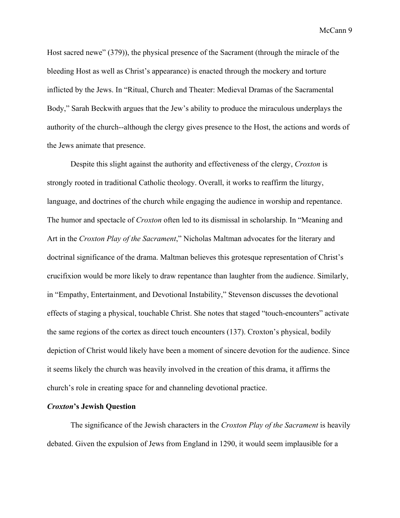Host sacred newe" (379)), the physical presence of the Sacrament (through the miracle of the bleeding Host as well as Christ's appearance) is enacted through the mockery and torture inflicted by the Jews. In "Ritual, Church and Theater: Medieval Dramas of the Sacramental Body," Sarah Beckwith argues that the Jew's ability to produce the miraculous underplays the authority of the church-although the clergy gives presence to the Host, the actions and words of the Jews animate that presence.

Despite this slight against the authority and effectiveness of the clergy, *Croxton* is strongly rooted in traditional Catholic theology. Overall, it works to reaffirm the liturgy, language, and doctrines of the church while engaging the audience in worship and repentance. The humor and spectacle of *Croxton* often led to its dismissal in scholarship. In "Meaning and Art in the *Croxton Play of the Sacrament*," Nicholas Maltman advocates for the literary and doctrinal significance of the drama. Maltman believes this grotesque representation of Christ's crucifixion would be more likely to draw repentance than laughter from the audience. Similarly, in "Empathy, Entertainment, and Devotional Instability," Stevenson discusses the devotional effects of staging a physical, touchable Christ. She notes that staged "touch-encounters" activate the same regions of the cortex as direct touch encounters (137). Croxton's physical, bodily depiction of Christ would likely have been a moment of sincere devotion for the audience. Since it seems likely the church was heavily involved in the creation of this drama, it affirms the church's role in creating space for and channeling devotional practice.

#### *Croxton***'s Jewish Question**

The significance of the Jewish characters in the *Croxton Play of the Sacrament* is heavily debated. Given the expulsion of Jews from England in 1290, it would seem implausible for a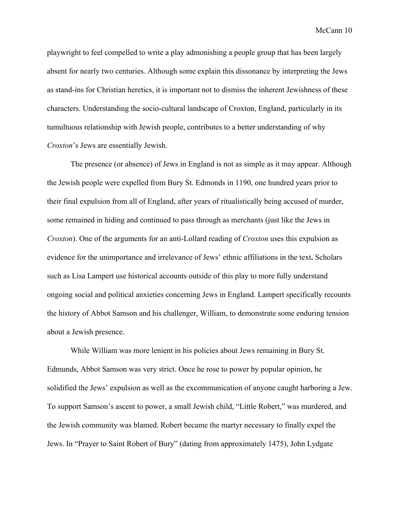playwright to feel compelled to write a play admonishing a people group that has been largely absent for nearly two centuries. Although some explain this dissonance by interpreting the Jews as stand-ins for Christian heretics, it is important not to dismiss the inherent Jewishness of these characters. Understanding the socio-cultural landscape of Croxton, England, particularly in its tumultuous relationship with Jewish people, contributes to a better understanding of why *Croxton*'s Jews are essentially Jewish.

The presence (or absence) of Jews in England is not as simple as it may appear. Although the Jewish people were expelled from Bury St. Edmonds in 1190, one hundred years prior to their final expulsion from all of England, after years of ritualistically being accused of murder, some remained in hiding and continued to pass through as merchants (just like the Jews in *Croxton*). One of the arguments for an anti-Lollard reading of *Croxton* uses this expulsion as evidence for the unimportance and irrelevance of Jews' ethnic affiliations in the text**.**Scholars such as Lisa Lampert use historical accounts outside of this play to more fully understand ongoing social and political anxieties concerning Jews in England. Lampert specifically recounts the history of Abbot Samson and his challenger, William, to demonstrate some enduring tension about a Jewish presence.

While William was more lenient in his policies about Jews remaining in Bury St. Edmunds, Abbot Samson was very strict. Once he rose to power by popular opinion, he solidified the Jews' expulsion as well as the excommunication of anyone caught harboring a Jew. To support Samson's ascent to power, a small Jewish child, "Little Robert," was murdered, and the Jewish community was blamed. Robert became the martyr necessary to finally expel the Jews. In "Prayer to Saint Robert of Bury" (dating from approximately 1475), John Lydgate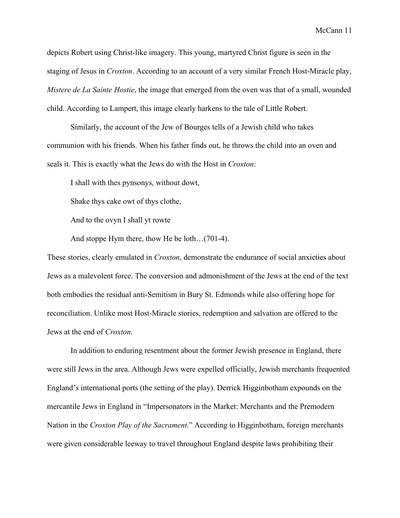depicts Robert using Christ-like imagery. This young, martyred Christ figure is seen in the staging of Jesus in *Croxton*. According to an account of a very similar French Host-Miracle play, *Mistere de La Sainte Hostie*, the image that emerged from the oven was that of a small, wounded child. According to Lampert, this image clearly harkens to the tale of Little Robert.

Similarly, the account of the Jew of Bourges tells of a Jewish child who takes communion with his friends. When his father finds out, he throws the child into an oven and seals it. This is exactly what the Jews do with the Host in *Croxton*:

I shall with thes pynsonys, without dowt,

Shake thys cake owt of thys clothe,

And to the ovyn I shall yt rowte

And stoppe Hym there, thow He be loth...(701-4).

These stories, clearly emulated in *Croxton*, demonstrate the endurance of social anxieties about Jews as a malevolent force. The conversion and admonishment of the Jews at the end of the text both embodies the residual anti-Semitism in Bury St. Edmonds while also offering hope for reconciliation. Unlike most Host-Miracle stories, redemption and salvation are offered to the Jews at the end of *Croxton*.

In addition to enduring resentment about the former Jewish presence in England, there were still Jews in the area. Although Jews were expelled officially, Jewish merchants frequented England's international ports (the setting of the play). Derrick Higginbotham expounds on the mercantile Jews in England in "Impersonators in the Market: Merchants and the Premodern Nation in the *Croxton Play of the Sacrament*." According to Higginbotham, foreign merchants were given considerable leeway to travel throughout England despite laws prohibiting their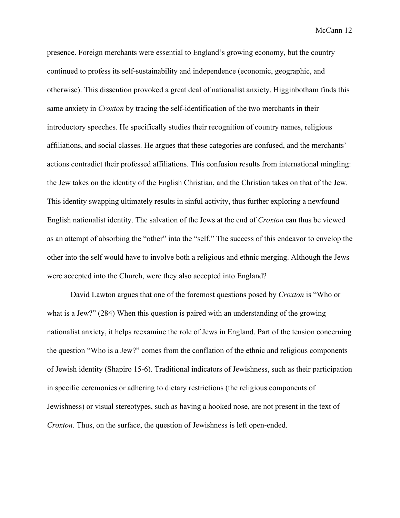presence. Foreign merchants were essential to England's growing economy, but the country continued to profess its self-sustainability and independence (economic, geographic, and otherwise). This dissention provoked a great deal of nationalist anxiety. Higginbotham finds this same anxiety in *Croxton* by tracing the self-identification of the two merchants in their introductory speeches. He specifically studies their recognition of country names, religious affiliations, and social classes. He argues that these categories are confused, and the merchants' actions contradict their professed affiliations. This confusion results from international mingling: the Jew takes on the identity of the English Christian, and the Christian takes on that of the Jew. This identity swapping ultimately results in sinful activity, thus further exploring a newfound English nationalist identity. The salvation of the Jews at the end of *Croxton* can thus be viewed as an attempt of absorbing the "other" into the "self." The success of this endeavor to envelop the other into the self would have to involve both a religious and ethnic merging. Although the Jews were accepted into the Church, were they also accepted into England?

David Lawton argues that one of the foremost questions posed by *Croxton* is "Who or what is a Jew?" (284) When this question is paired with an understanding of the growing nationalist anxiety, it helps reexamine the role of Jews in England. Part of the tension concerning the question "Who is a Jew?" comes from the conflation of the ethnic and religious components of Jewish identity (Shapiro 156). Traditional indicators of Jewishness, such as their participation in specific ceremonies or adhering to dietary restrictions (the religious components of Jewishness) or visual stereotypes, such as having a hooked nose, are not present in the text of *Croxton*. Thus, on the surface, the question of Jewishness is left open-ended.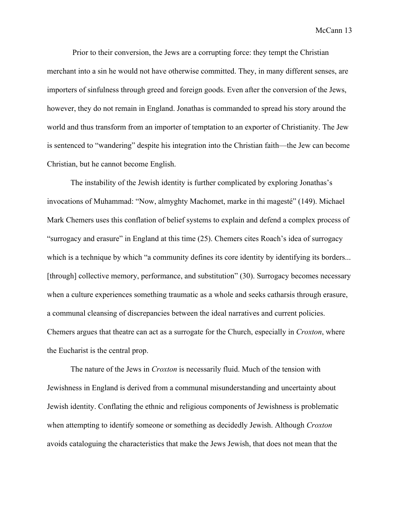Prior to their conversion, the Jews are a corrupting force: they tempt the Christian merchant into a sin he would not have otherwise committed. They, in many different senses, are importers of sinfulness through greed and foreign goods. Even after the conversion of the Jews, however, they do not remain in England. Jonathas is commanded to spread his story around the world and thus transform from an importer of temptation to an exporter of Christianity. The Jew is sentenced to "wandering" despite his integration into the Christian faith—the Jew can become Christian, but he cannot become English.

The instability of the Jewish identity is further complicated by exploring Jonathas's invocations of Muhammad: "Now, almyghty Machomet, marke in thi magesté" (149). Michael Mark Chemers uses this conflation of belief systems to explain and defend a complex process of "surrogacy and erasure" in England at this time (25). Chemers cites Roach's idea of surrogacy which is a technique by which "a community defines its core identity by identifying its borders... [through] collective memory, performance, and substitution" (30). Surrogacy becomes necessary when a culture experiences something traumatic as a whole and seeks catharsis through erasure, a communal cleansing of discrepancies between the ideal narratives and current policies. Chemers argues that theatre can act as a surrogate for the Church, especially in *Croxton*, where the Eucharist is the central prop.

The nature of the Jews in *Croxton* is necessarily fluid. Much of the tension with Jewishness in England is derived from a communal misunderstanding and uncertainty about Jewish identity. Conflating the ethnic and religious components of Jewishness is problematic when attempting to identify someone or something as decidedly Jewish. Although *Croxton* avoids cataloguing the characteristics that make the Jews Jewish, that does not mean that the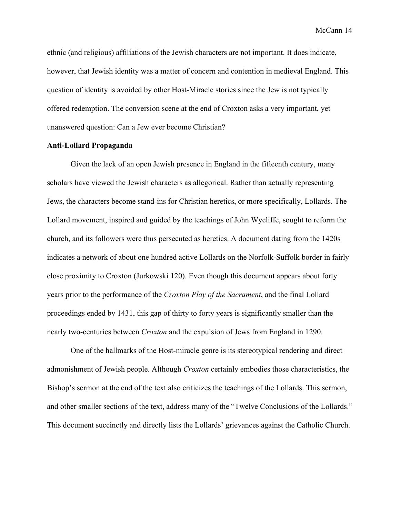ethnic (and religious) affiliations of the Jewish characters are not important. It does indicate, however, that Jewish identity was a matter of concern and contention in medieval England. This question of identity is avoided by other Host-Miracle stories since the Jew is not typically offered redemption. The conversion scene at the end of Croxton asks a very important, yet unanswered question: Can a Jew ever become Christian?

#### **AntiLollard Propaganda**

Given the lack of an open Jewish presence in England in the fifteenth century, many scholars have viewed the Jewish characters as allegorical. Rather than actually representing Jews, the characters become stand-ins for Christian heretics, or more specifically, Lollards. The Lollard movement, inspired and guided by the teachings of John Wycliffe, sought to reform the church, and its followers were thus persecuted as heretics. A document dating from the 1420s indicates a network of about one hundred active Lollards on the Norfolk-Suffolk border in fairly close proximity to Croxton (Jurkowski 120). Even though this document appears about forty years prior to the performance of the *Croxton Play of the Sacrament*, and the final Lollard proceedings ended by 1431, this gap of thirty to forty years is significantly smaller than the nearly two-centuries between *Croxton* and the expulsion of Jews from England in 1290.

One of the hallmarks of the Host-miracle genre is its stereotypical rendering and direct admonishment of Jewish people. Although *Croxton* certainly embodies those characteristics, the Bishop's sermon at the end of the text also criticizes the teachings of the Lollards. This sermon, and other smaller sections of the text, address many of the "Twelve Conclusions of the Lollards." This document succinctly and directly lists the Lollards' grievances against the Catholic Church.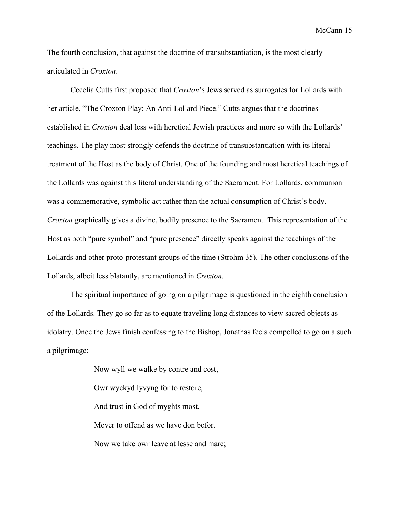The fourth conclusion, that against the doctrine of transubstantiation, is the most clearly articulated in *Croxton*.

Cecelia Cutts first proposed that *Croxton*'s Jews served as surrogates for Lollards with her article, "The Croxton Play: An Anti-Lollard Piece." Cutts argues that the doctrines established in *Croxton* deal less with heretical Jewish practices and more so with the Lollards' teachings. The play most strongly defends the doctrine of transubstantiation with its literal treatment of the Host as the body of Christ. One of the founding and most heretical teachings of the Lollards was against this literal understanding of the Sacrament. For Lollards, communion was a commemorative, symbolic act rather than the actual consumption of Christ's body. *Croxton* graphically gives a divine, bodily presence to the Sacrament. This representation of the Host as both "pure symbol" and "pure presence" directly speaks against the teachings of the Lollards and other proto-protestant groups of the time (Strohm 35). The other conclusions of the Lollards, albeit less blatantly, are mentioned in *Croxton*.

The spiritual importance of going on a pilgrimage is questioned in the eighth conclusion of the Lollards. They go so far as to equate traveling long distances to view sacred objects as idolatry. Once the Jews finish confessing to the Bishop, Jonathas feels compelled to go on a such a pilgrimage:

> Now wyll we walke by contre and cost, Owr wyckyd lyvyng for to restore, And trust in God of myghts most, Mever to offend as we have don befor. Now we take owr leave at lesse and mare;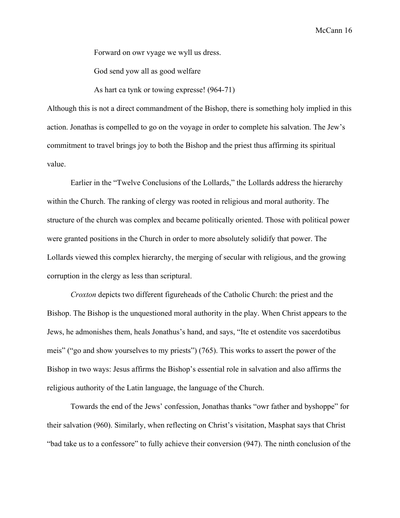Forward on owr vyage we wyll us dress.

God send yow all as good welfare

As hart ca tynk or towing expresse! (964-71)

Although this is not a direct commandment of the Bishop, there is something holy implied in this action. Jonathas is compelled to go on the voyage in order to complete his salvation. The Jew's commitment to travel brings joy to both the Bishop and the priest thus affirming its spiritual value.

Earlier in the "Twelve Conclusions of the Lollards," the Lollards address the hierarchy within the Church. The ranking of clergy was rooted in religious and moral authority. The structure of the church was complex and became politically oriented. Those with political power were granted positions in the Church in order to more absolutely solidify that power. The Lollards viewed this complex hierarchy, the merging of secular with religious, and the growing corruption in the clergy as less than scriptural.

*Croxton* depicts two different figureheads of the Catholic Church: the priest and the Bishop. The Bishop is the unquestioned moral authority in the play. When Christ appears to the Jews, he admonishes them, heals Jonathus's hand, and says, "Ite et ostendite vos sacerdotibus meis" ("go and show yourselves to my priests") (765). This works to assert the power of the Bishop in two ways: Jesus affirms the Bishop's essential role in salvation and also affirms the religious authority of the Latin language, the language of the Church.

Towards the end of the Jews' confession, Jonathas thanks "owr father and byshoppe" for their salvation (960). Similarly, when reflecting on Christ's visitation, Masphat says that Christ "bad take us to a confessore" to fully achieve their conversion (947). The ninth conclusion of the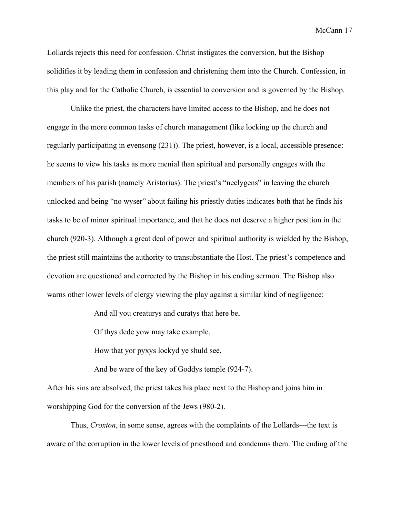Lollards rejects this need for confession. Christ instigates the conversion, but the Bishop solidifies it by leading them in confession and christening them into the Church. Confession, in this play and for the Catholic Church, is essential to conversion and is governed by the Bishop.

Unlike the priest, the characters have limited access to the Bishop, and he does not engage in the more common tasks of church management (like locking up the church and regularly participating in evensong (231)). The priest, however, is a local, accessible presence: he seems to view his tasks as more menial than spiritual and personally engages with the members of his parish (namely Aristorius). The priest's "neclygens" in leaving the church unlocked and being "no wyser" about failing his priestly duties indicates both that he finds his tasks to be of minor spiritual importance, and that he does not deserve a higher position in the church (920-3). Although a great deal of power and spiritual authority is wielded by the Bishop, the priest still maintains the authority to transubstantiate the Host. The priest's competence and devotion are questioned and corrected by the Bishop in his ending sermon. The Bishop also warns other lower levels of clergy viewing the play against a similar kind of negligence:

And all you creaturys and curatys that here be,

Of thys dede yow may take example,

How that yor pyxys lockyd ye shuld see,

And be ware of the key of Goddys temple (9247).

After his sins are absolved, the priest takes his place next to the Bishop and joins him in worshipping God for the conversion of the Jews (980-2).

Thus, *Croxton*, in some sense, agrees with the complaints of the Lollards—the text is aware of the corruption in the lower levels of priesthood and condemns them. The ending of the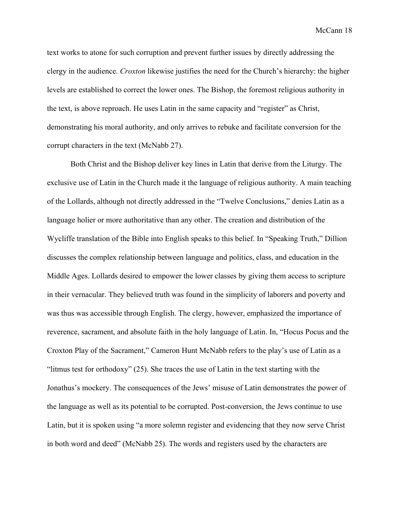text works to atone for such corruption and prevent further issues by directly addressing the clergy in the audience. *Croxton* likewise justifies the need for the Church's hierarchy: the higher levels are established to correct the lower ones. The Bishop, the foremost religious authority in the text, is above reproach. He uses Latin in the same capacity and "register" as Christ, demonstrating his moral authority, and only arrives to rebuke and facilitate conversion for the corrupt characters in the text (McNabb 27).

Both Christ and the Bishop deliver key lines in Latin that derive from the Liturgy. The exclusive use of Latin in the Church made it the language of religious authority. A main teaching of the Lollards, although not directly addressed in the "Twelve Conclusions," denies Latin as a language holier or more authoritative than any other. The creation and distribution of the Wycliffe translation of the Bible into English speaks to this belief. In "Speaking Truth," Dillion discusses the complex relationship between language and politics, class, and education in the Middle Ages. Lollards desired to empower the lower classes by giving them access to scripture in their vernacular. They believed truth was found in the simplicity of laborers and poverty and was thus was accessible through English. The clergy, however, emphasized the importance of reverence, sacrament, and absolute faith in the holy language of Latin. In, "Hocus Pocus and the Croxton Play of the Sacrament," Cameron Hunt McNabb refers to the play's use of Latin as a "litmus test for orthodoxy" (25). She traces the use of Latin in the text starting with the Jonathus's mockery. The consequences of the Jews' misuse of Latin demonstrates the power of the language as well as its potential to be corrupted. Post-conversion, the Jews continue to use Latin, but it is spoken using "a more solemn register and evidencing that they now serve Christ in both word and deed" (McNabb 25). The words and registers used by the characters are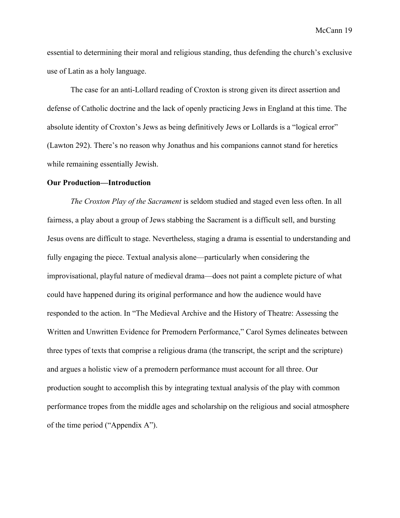essential to determining their moral and religious standing, thus defending the church's exclusive use of Latin as a holy language.

The case for an anti-Lollard reading of Croxton is strong given its direct assertion and defense of Catholic doctrine and the lack of openly practicing Jews in England at this time. The absolute identity of Croxton's Jews as being definitively Jews or Lollards is a "logical error" (Lawton 292). There's no reason why Jonathus and his companions cannot stand for heretics while remaining essentially Jewish.

#### **Our Production—Introduction**

*The Croxton Play of the Sacrament* is seldom studied and staged even less often. In all fairness, a play about a group of Jews stabbing the Sacrament is a difficult sell, and bursting Jesus ovens are difficult to stage. Nevertheless, staging a drama is essential to understanding and fully engaging the piece. Textual analysis alone—particularly when considering the improvisational, playful nature of medieval drama—does not paint a complete picture of what could have happened during its original performance and how the audience would have responded to the action. In "The Medieval Archive and the History of Theatre: Assessing the Written and Unwritten Evidence for Premodern Performance," Carol Symes delineates between three types of texts that comprise a religious drama (the transcript, the script and the scripture) and argues a holistic view of a premodern performance must account for all three. Our production sought to accomplish this by integrating textual analysis of the play with common performance tropes from the middle ages and scholarship on the religious and social atmosphere of the time period ("Appendix A").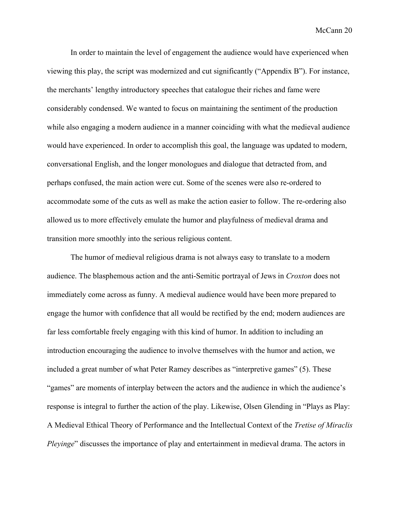In order to maintain the level of engagement the audience would have experienced when viewing this play, the script was modernized and cut significantly ("Appendix B"). For instance, the merchants' lengthy introductory speeches that catalogue their riches and fame were considerably condensed. We wanted to focus on maintaining the sentiment of the production while also engaging a modern audience in a manner coinciding with what the medieval audience would have experienced. In order to accomplish this goal, the language was updated to modern, conversational English, and the longer monologues and dialogue that detracted from, and perhaps confused, the main action were cut. Some of the scenes were also re-ordered to accommodate some of the cuts as well as make the action easier to follow. The re-ordering also allowed us to more effectively emulate the humor and playfulness of medieval drama and transition more smoothly into the serious religious content.

The humor of medieval religious drama is not always easy to translate to a modern audience. The blasphemous action and the anti-Semitic portrayal of Jews in *Croxton* does not immediately come across as funny. A medieval audience would have been more prepared to engage the humor with confidence that all would be rectified by the end; modern audiences are far less comfortable freely engaging with this kind of humor. In addition to including an introduction encouraging the audience to involve themselves with the humor and action, we included a great number of what Peter Ramey describes as "interpretive games" (5). These "games" are moments of interplay between the actors and the audience in which the audience's response is integral to further the action of the play. Likewise, Olsen Glending in "Plays as Play: A Medieval Ethical Theory of Performance and the Intellectual Context of the *Tretise of Miraclis Pleyinge*" discusses the importance of play and entertainment in medieval drama. The actors in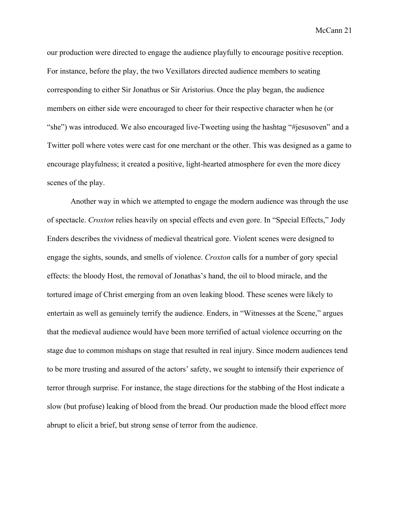our production were directed to engage the audience playfully to encourage positive reception. For instance, before the play, the two Vexillators directed audience members to seating corresponding to either Sir Jonathus or Sir Aristorius. Once the play began, the audience members on either side were encouraged to cheer for their respective character when he (or "she") was introduced. We also encouraged live-Tweeting using the hashtag "#jesusoven" and a Twitter poll where votes were cast for one merchant or the other. This was designed as a game to encourage playfulness; it created a positive, light-hearted atmosphere for even the more dicey scenes of the play.

Another way in which we attempted to engage the modern audience was through the use of spectacle. *Croxton* relies heavily on special effects and even gore. In "Special Effects," Jody Enders describes the vividness of medieval theatrical gore. Violent scenes were designed to engage the sights, sounds, and smells of violence. *Croxton* calls for a number of gory special effects: the bloody Host, the removal of Jonathas's hand, the oil to blood miracle, and the tortured image of Christ emerging from an oven leaking blood. These scenes were likely to entertain as well as genuinely terrify the audience. Enders, in "Witnesses at the Scene," argues that the medieval audience would have been more terrified of actual violence occurring on the stage due to common mishaps on stage that resulted in real injury. Since modern audiences tend to be more trusting and assured of the actors' safety, we sought to intensify their experience of terror through surprise. For instance, the stage directions for the stabbing of the Host indicate a slow (but profuse) leaking of blood from the bread. Our production made the blood effect more abrupt to elicit a brief, but strong sense of terror from the audience.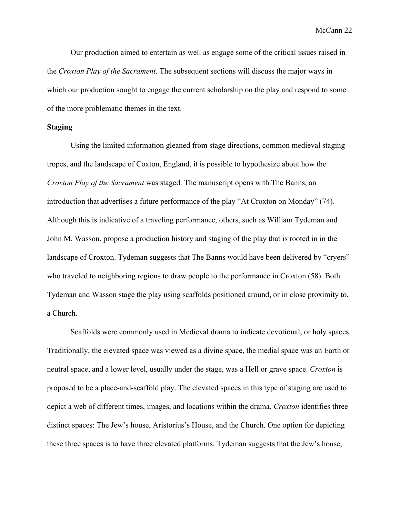Our production aimed to entertain as well as engage some of the critical issues raised in the *Croxton Play of the Sacrament*. The subsequent sections will discuss the major ways in which our production sought to engage the current scholarship on the play and respond to some of the more problematic themes in the text.

#### **Staging**

Using the limited information gleaned from stage directions, common medieval staging tropes, and the landscape of Coxton, England, it is possible to hypothesize about how the *Croxton Play of the Sacrament* was staged. The manuscript opens with The Banns, an introduction that advertises a future performance of the play "At Croxton on Monday" (74). Although this is indicative of a traveling performance, others, such as William Tydeman and John M. Wasson, propose a production history and staging of the play that is rooted in in the landscape of Croxton. Tydeman suggests that The Banns would have been delivered by "cryers" who traveled to neighboring regions to draw people to the performance in Croxton (58). Both Tydeman and Wasson stage the play using scaffolds positioned around, or in close proximity to, a Church.

Scaffolds were commonly used in Medieval drama to indicate devotional, or holy spaces. Traditionally, the elevated space was viewed as a divine space, the medial space was an Earth or neutral space, and a lower level, usually under the stage, was a Hell or grave space. *Croxton* is proposed to be a place-and-scaffold play. The elevated spaces in this type of staging are used to depict a web of different times, images, and locations within the drama. *Croxton* identifies three distinct spaces: The Jew's house, Aristorius's House, and the Church. One option for depicting these three spaces is to have three elevated platforms. Tydeman suggests that the Jew's house,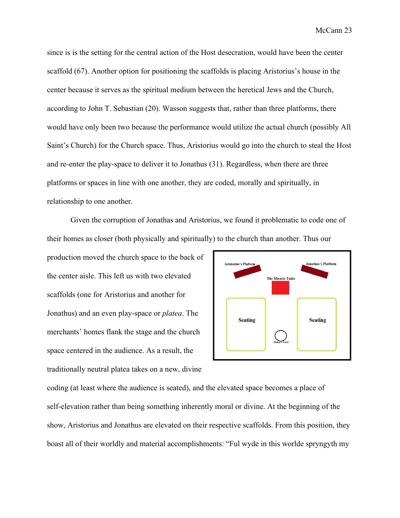since is is the setting for the central action of the Host desecration, would have been the center scaffold (67). Another option for positioning the scaffolds is placing Aristorius's house in the center because it serves as the spiritual medium between the heretical Jews and the Church, according to John T. Sebastian (20). Wasson suggests that, rather than three platforms, there would have only been two because the performance would utilize the actual church (possibly All Saint's Church) for the Church space. Thus, Aristorius would go into the church to steal the Host and re-enter the play-space to deliver it to Jonathus (31). Regardless, when there are three platforms or spaces in line with one another, they are coded, morally and spiritually, in relationship to one another.

Given the corruption of Jonathas and Aristorius, we found it problematic to code one of their homes as closer (both physically and spiritually) to the church than another. Thus our

production moved the church space to the back of the center aisle. This left us with two elevated scaffolds (one for Aristorius and another for Jonathus) and an even playspace or *platea*. The merchants' homes flank the stage and the church space centered in the audience. As a result, the traditionally neutral platea takes on a new, divine



coding (at least where the audience is seated), and the elevated space becomes a place of self-elevation rather than being something inherently moral or divine. At the beginning of the show, Aristorius and Jonathus are elevated on their respective scaffolds. From this position, they boast all of their worldly and material accomplishments: "Ful wyde in this worlde spryngyth my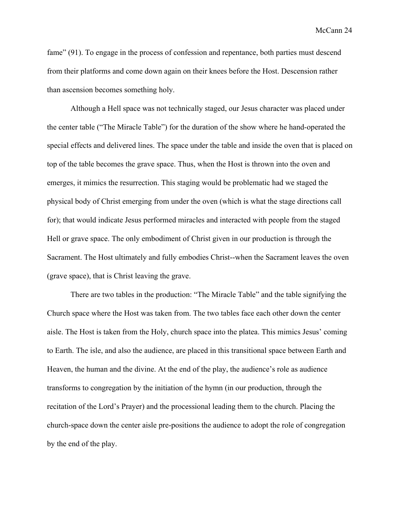fame" (91). To engage in the process of confession and repentance, both parties must descend from their platforms and come down again on their knees before the Host. Descension rather than ascension becomes something holy.

Although a Hell space was not technically staged, our Jesus character was placed under the center table ("The Miracle Table") for the duration of the show where he hand-operated the special effects and delivered lines. The space under the table and inside the oven that is placed on top of the table becomes the grave space. Thus, when the Host is thrown into the oven and emerges, it mimics the resurrection. This staging would be problematic had we staged the physical body of Christ emerging from under the oven (which is what the stage directions call for); that would indicate Jesus performed miracles and interacted with people from the staged Hell or grave space. The only embodiment of Christ given in our production is through the Sacrament. The Host ultimately and fully embodies Christ--when the Sacrament leaves the oven (grave space), that is Christ leaving the grave.

There are two tables in the production: "The Miracle Table" and the table signifying the Church space where the Host was taken from. The two tables face each other down the center aisle. The Host is taken from the Holy, church space into the platea. This mimics Jesus' coming to Earth. The isle, and also the audience, are placed in this transitional space between Earth and Heaven, the human and the divine. At the end of the play, the audience's role as audience transforms to congregation by the initiation of the hymn (in our production, through the recitation of the Lord's Prayer) and the processional leading them to the church. Placing the church-space down the center aisle pre-positions the audience to adopt the role of congregation by the end of the play.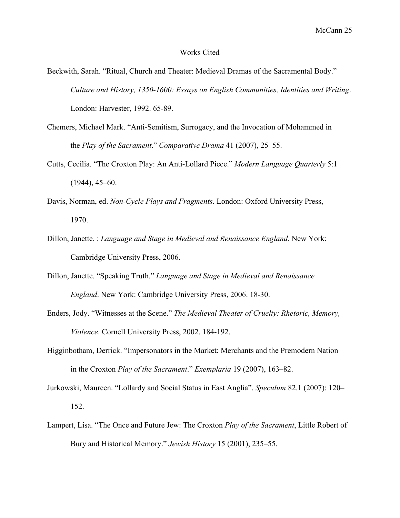#### Works Cited

- Beckwith, Sarah. "Ritual, Church and Theater: Medieval Dramas of the Sacramental Body." *Culture* and *History, 1350-1600: Essays on English Communities, Identities and Writing.* London: Harvester, 1992. 65-89.
- Chemers, Michael Mark. "Anti-Semitism, Surrogacy, and the Invocation of Mohammed in the *Play of the Sacrament*." *Comparative Drama* 41 (2007), 25–55.
- Cutts, Cecilia. "The Croxton Play: An Anti-Lollard Piece." Modern Language Quarterly 5:1 (1944), 45–60.
- Davis, Norman, ed. *NonCycle Plays and Fragments*. London: Oxford University Press, 1970.
- Dillon, Janette. : *Language and Stage in Medieval and Renaissance England*. New York: Cambridge University Press, 2006.
- Dillon, Janette. "Speaking Truth." *Language and Stage in Medieval and Renaissance England*. New York: Cambridge University Press, 2006. 18-30.
- Enders, Jody. "Witnesses at the Scene." *The Medieval Theater of Cruelty: Rhetoric, Memory, Violence*. Cornell University Press, 2002. 184-192.
- Higginbotham, Derrick. "Impersonators in the Market: Merchants and the Premodern Nation in the Croxton *Play of the Sacrament*." *Exemplaria* 19 (2007), 163–82.
- Jurkowski, Maureen. "Lollardy and Social Status in East Anglia". *Speculum* 82.1 (2007): 120– 152.
- Lampert, Lisa. "The Once and Future Jew: The Croxton *Play of the Sacrament*, Little Robert of Bury and Historical Memory." *Jewish History* 15 (2001), 235–55.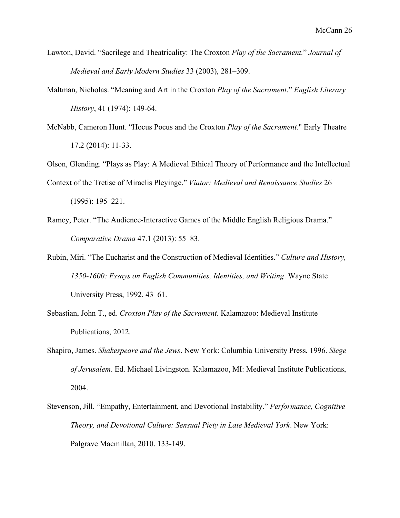- Lawton, David. "Sacrilege and Theatricality: The Croxton *Play of the Sacrament.*" *Journal of Medieval and Early Modern Studies* 33 (2003), 281–309.
- Maltman, Nicholas. "Meaning and Art in the Croxton *Play of the Sacrament*." *English Literary History*, 41 (1974): 149-64.
- McNabb, Cameron Hunt. "Hocus Pocus and the Croxton *Play of the Sacrament.*" Early Theatre 17.2 (2014): 11-33.

Olson, Glending. "Plays as Play: A Medieval Ethical Theory of Performance and the Intellectual

Context of the Tretise of Miraclis Pleyinge." *Viator: Medieval and Renaissance Studies* 26 (1995): 195–221.

- Ramey, Peter. "The Audience-Interactive Games of the Middle English Religious Drama." *Comparative Drama* 47.1 (2013): 55–83.
- Rubin, Miri. "The Eucharist and the Construction of Medieval Identities." *Culture and History, 13501600: Essays on English Communities, Identities, and Writing*. Wayne State University Press, 1992. 43–61.
- Sebastian, John T., ed. *Croxton Play of the Sacrament*. Kalamazoo: Medieval Institute Publications, 2012.
- Shapiro, James. *Shakespeare and the Jews*. New York: Columbia University Press, 1996. *Siege of Jerusalem*. Ed. Michael Livingston. Kalamazoo, MI: Medieval Institute Publications, 2004.
- Stevenson, Jill. "Empathy, Entertainment, and Devotional Instability." *Performance, Cognitive Theory, and Devotional Culture: Sensual Piety in Late Medieval York*. New York: Palgrave Macmillan, 2010. 133-149.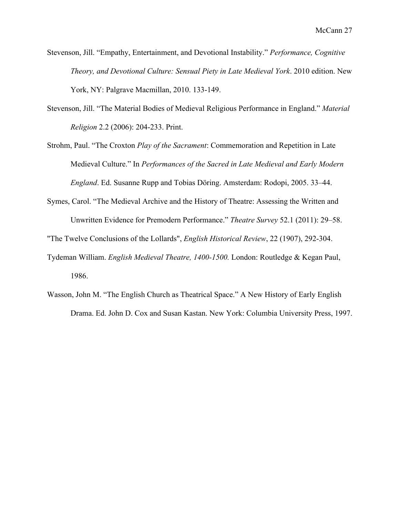Stevenson, Jill. "Empathy, Entertainment, and Devotional Instability." *Performance, Cognitive Theory, and Devotional Culture: Sensual Piety in Late Medieval York*. 2010 edition. New York, NY: Palgrave Macmillan, 2010. 133-149.

- Stevenson, Jill. "The Material Bodies of Medieval Religious Performance in England." *Material Religion* 2.2 (2006): 204-233. Print.
- Strohm, Paul. "The Croxton *Play of the Sacrament*: Commemoration and Repetition in Late Medieval Culture." In *Performances of the Sacred in Late Medieval and Early Modern England*. Ed. Susanne Rupp and Tobias Döring. Amsterdam: Rodopi, 2005. 33–44.
- Symes, Carol. "The Medieval Archive and the History of Theatre: Assessing the Written and Unwritten Evidence for Premodern Performance." *Theatre Survey* 52.1 (2011): 29–58.

"The Twelve Conclusions of the Lollards", *English Historical Review*, 22 (1907), 292-304.

- Tydeman William. *English Medieval Theatre, 1400-1500*. London: Routledge & Kegan Paul, 1986.
- Wasson, John M. "The English Church as Theatrical Space." A New History of Early English Drama. Ed. John D. Cox and Susan Kastan. New York: Columbia University Press, 1997.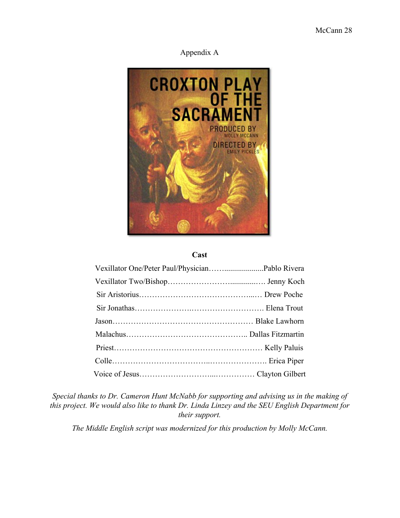## Appendix A



#### **Cast**

*Special thanks to Dr. Cameron Hunt McNabb for supporting and advising us in the making of this project. We would also like to thank Dr. Linda Linzey and the SEU English Department for their support.*

*The Middle English script was modernized for this production by Molly McCann.*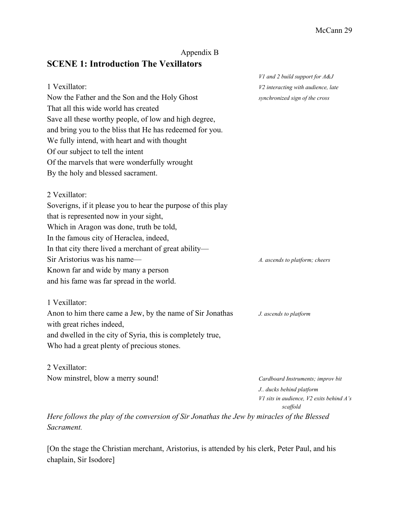## Appendix B

# **SCENE 1: Introduction The Vexillators**

|                                                              | V1 and 2 build support for A&J                       |
|--------------------------------------------------------------|------------------------------------------------------|
| 1 Vexillator:                                                | V2 interacting with audience, late                   |
| Now the Father and the Son and the Holy Ghost                | synchronized sign of the cross                       |
| That all this wide world has created                         |                                                      |
| Save all these worthy people, of low and high degree,        |                                                      |
| and bring you to the bliss that He has redeemed for you.     |                                                      |
| We fully intend, with heart and with thought                 |                                                      |
| Of our subject to tell the intent                            |                                                      |
| Of the marvels that were wonderfully wrought                 |                                                      |
| By the holy and blessed sacrament.                           |                                                      |
| 2 Vexillator:                                                |                                                      |
| Soverigns, if it please you to hear the purpose of this play |                                                      |
| that is represented now in your sight,                       |                                                      |
| Which in Aragon was done, truth be told,                     |                                                      |
| In the famous city of Heraclea, indeed,                      |                                                      |
| In that city there lived a merchant of great ability-        |                                                      |
| Sir Aristorius was his name—                                 | A. ascends to platform; cheers                       |
| Known far and wide by many a person                          |                                                      |
| and his fame was far spread in the world.                    |                                                      |
| 1 Vexillator:                                                |                                                      |
| Anon to him there came a Jew, by the name of Sir Jonathas    | J. ascends to platform                               |
| with great riches indeed,                                    |                                                      |
| and dwelled in the city of Syria, this is completely true,   |                                                      |
| Who had a great plenty of precious stones.                   |                                                      |
| 2 Vexillator:                                                |                                                      |
| Now minstrel, blow a merry sound!                            | Cardboard Instruments; improv bit                    |
|                                                              | J ducks behind platform                              |
|                                                              | V1 sits in audience, V2 exits behind A's<br>scaffold |

*Here follows the play of the conversion of Sir Jonathas the Jew by miracles of the Blessed Sacrament.*

[On the stage the Christian merchant, Aristorius, is attended by his clerk, Peter Paul, and his chaplain, Sir Isodore]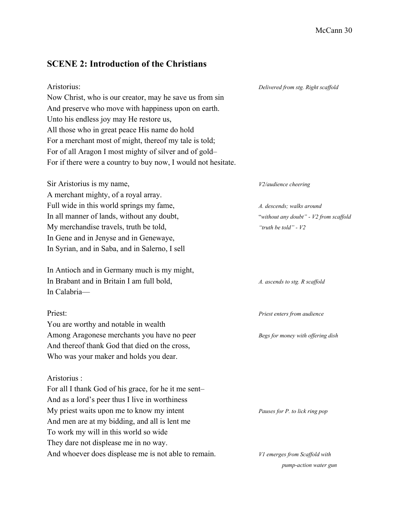# **SCENE 2: Introduction of the Christians**

| Aristorius:<br>Now Christ, who is our creator, may he save us from sin | Delivered from stg. Right scaffold     |
|------------------------------------------------------------------------|----------------------------------------|
| And preserve who move with happiness upon on earth.                    |                                        |
| Unto his endless joy may He restore us,                                |                                        |
| All those who in great peace His name do hold                          |                                        |
| For a merchant most of might, thereof my tale is told;                 |                                        |
| For of all Aragon I most mighty of silver and of gold-                 |                                        |
| For if there were a country to buy now, I would not hesitate.          |                                        |
| Sir Aristorius is my name,                                             | V2/audience cheering                   |
| A merchant mighty, of a royal array.                                   |                                        |
| Full wide in this world springs my fame,                               | A. descends; walks around              |
| In all manner of lands, without any doubt,                             | "without any doubt" - V2 from scaffold |
| My merchandise travels, truth be told,                                 | "truth be told" - V2                   |
| In Gene and in Jenyse and in Genewaye,                                 |                                        |
| In Syrian, and in Saba, and in Salerno, I sell                         |                                        |
| In Antioch and in Germany much is my might,                            |                                        |
| In Brabant and in Britain I am full bold,                              | A. ascends to stg. R scaffold          |
| In Calabria-                                                           |                                        |
| Priest:                                                                | Priest enters from audience            |
| You are worthy and notable in wealth                                   |                                        |
| Among Aragonese merchants you have no peer                             | Begs for money with offering dish      |
| And thereof thank God that died on the cross,                          |                                        |
| Who was your maker and holds you dear.                                 |                                        |
| Aristorius:                                                            |                                        |
| For all I thank God of his grace, for he it me sent-                   |                                        |
| And as a lord's peer thus I live in worthiness                         |                                        |
| My priest waits upon me to know my intent                              | Pauses for P. to lick ring pop         |
| And men are at my bidding, and all is lent me                          |                                        |
| To work my will in this world so wide                                  |                                        |
| They dare not displease me in no way.                                  |                                        |
| And whoever does displease me is not able to remain.                   | V1 emerges from Scaffold with          |

 $pump-action$  *water* gun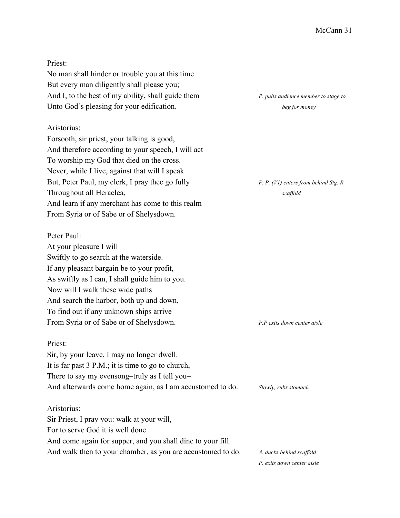Priest:

No man shall hinder or trouble you at this time But every man diligently shall please you; And I, to the best of my ability, shall guide them *P. pulls audience member to stage to* Unto God's pleasing for your edification. *beg for money* 

#### Aristorius:

Forsooth, sir priest, your talking is good, And therefore according to your speech, I will act To worship my God that died on the cross. Never, while I live, against that will I speak. But, Peter Paul, my clerk, I pray thee go fully *P. P. (V1) enters from behind Stg. R* Throughout all Heraclea, *scaffold scaffold* And learn if any merchant has come to this realm From Syria or of Sabe or of Shelysdown.

#### Peter Paul:

At your pleasure I will Swiftly to go search at the waterside. If any pleasant bargain be to your profit, As swiftly as I can, I shall guide him to you. Now will I walk these wide paths And search the harbor, both up and down, To find out if any unknown ships arrive From Syria or of Sabe or of Shelysdown. *P.P exits down center aisle*

#### Priest:

Sir, by your leave, I may no longer dwell. It is far past 3 P.M.; it is time to go to church, There to say my evensong–truly as I tell you– And afterwards come home again, as I am accustomed to do. *Slowly, rubs stomach*

#### Aristorius:

Sir Priest, I pray you: walk at your will, For to serve God it is well done. And come again for supper, and you shall dine to your fill. And walk then to your chamber, as you are accustomed to do. A. ducks behind scaffold

*P. exits down center aisle*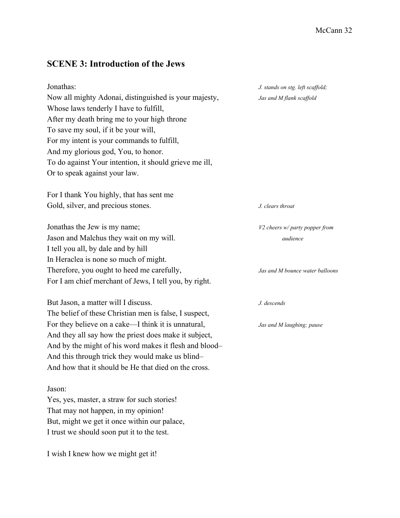## **SCENE 3: Introduction of the Jews**

| Jonathas:                                              |
|--------------------------------------------------------|
| Now all mighty Adonai, distinguished is your majesty,  |
| Whose laws tenderly I have to fulfill,                 |
| After my death bring me to your high throne            |
| To save my soul, if it be your will,                   |
| For my intent is your commands to fulfill,             |
| And my glorious god, You, to honor.                    |
| To do against Your intention, it should grieve me ill, |
| Or to speak against your law.                          |

For I thank You highly, that has sent me Gold, silver, and precious stones. *J. clears throat* 

Jonathas the Jew is my name; *V2 cheers w/ party popper from* Jason and Malchus they wait on my will. *audience* I tell you all, by dale and by hill In Heraclea is none so much of might. Therefore, you ought to heed me carefully, *Jas and M bounce water balloons* For I am chief merchant of Jews, I tell you, by right.

But Jason, a matter will I discuss. *J. descends* The belief of these Christian men is false, I suspect, For they believe on a cake—I think it is unnatural, *Jas and M laughing; pause* And they all say how the priest does make it subject, And by the might of his word makes it flesh and blood– And this through trick they would make us blind– And how that it should be He that died on the cross.

#### Jason:

Yes, yes, master, a straw for such stories! That may not happen, in my opinion! But, might we get it once within our palace, I trust we should soon put it to the test.

I wish I knew how we might get it!

 $J.$  *stands on stg. left scaffold;*  $Jas$  and  $M$  *flank* scaffold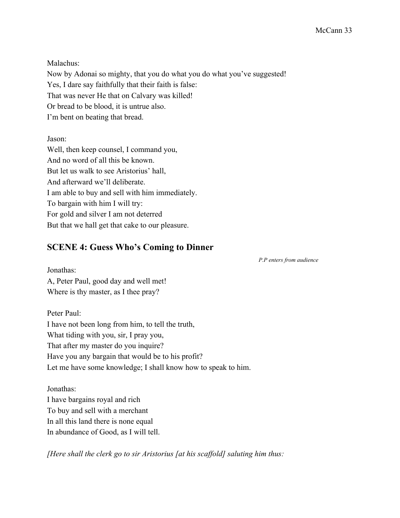Malachus:

Now by Adonai so mighty, that you do what you do what you've suggested! Yes, I dare say faithfully that their faith is false: That was never He that on Calvary was killed! Or bread to be blood, it is untrue also. I'm bent on beating that bread.

Jason:

Well, then keep counsel, I command you, And no word of all this be known. But let us walk to see Aristorius' hall, And afterward we'll deliberate. I am able to buy and sell with him immediately. To bargain with him I will try: For gold and silver I am not deterred But that we hall get that cake to our pleasure.

## **SCENE 4: Guess Who's Coming to Dinner**

*P.P enters from audience*

Jonathas: A, Peter Paul, good day and well met! Where is thy master, as I thee pray?

Peter Paul: I have not been long from him, to tell the truth, What tiding with you, sir, I pray you, That after my master do you inquire? Have you any bargain that would be to his profit? Let me have some knowledge; I shall know how to speak to him.

Jonathas: I have bargains royal and rich To buy and sell with a merchant In all this land there is none equal In abundance of Good, as I will tell.

*[Here shall the clerk go to sir Aristorius [at his scaf old] saluting him thus:*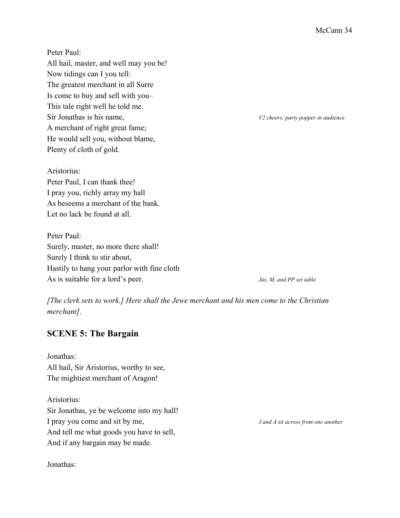Peter Paul: All hail, master, and well may you be! Now tidings can I you tell: The greatest merchant in all Surre Is come to buy and sell with you– This tale right well he told me. Sir Jonathas is his name, *V2 cheers; party popper in audience* A merchant of right great fame; He would sell you, without blame, Plenty of cloth of gold.

Aristorius: Peter Paul, I can thank thee! I pray you, richly array my hall As beseems a merchant of the bank. Let no lack be found at all.

Peter Paul: Surely, master, no more there shall! Surely I think to stir about, Hastily to hang your parlor with fine cloth As is suitable for a lord's peer. *Jas, M, and PP set table*

*[The clerk sets to work.] Here shall the Jewe merchant and his men come to the Christian merchant]*.

## **SCENE 5: The Bargain**

Jonathas: All hail, Sir Aristorius, worthy to see, The mightiest merchant of Aragon!

Aristorius: Sir Jonathas, ye be welcome into my hall! I pray you come and sit by me, *J and A sit across from one another* And tell me what goods you have to sell, And if any bargain may be made.

Jonathas: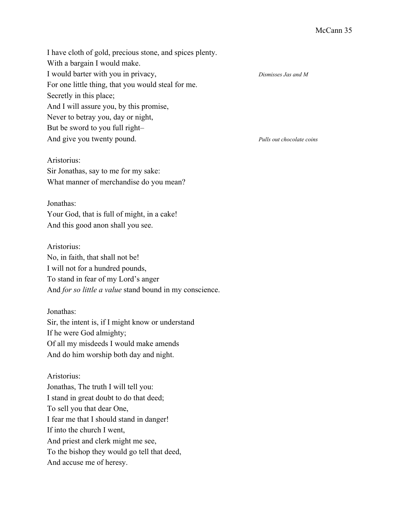I have cloth of gold, precious stone, and spices plenty. With a bargain I would make. I would barter with you in privacy, *Dismisses Jas and M* For one little thing, that you would steal for me. Secretly in this place; And I will assure you, by this promise, Never to betray you, day or night, But be sword to you full right– And give you twenty pound. *Pulls out chocolate coins*

### Aristorius:

Sir Jonathas, say to me for my sake: What manner of merchandise do you mean?

#### Jonathas:

Your God, that is full of might, in a cake! And this good anon shall you see.

#### Aristorius:

No, in faith, that shall not be! I will not for a hundred pounds, To stand in fear of my Lord's anger And *for so little a value* stand bound in my conscience.

#### Jonathas:

Sir, the intent is, if I might know or understand If he were God almighty; Of all my misdeeds I would make amends And do him worship both day and night.

## Aristorius:

Jonathas, The truth I will tell you: I stand in great doubt to do that deed; To sell you that dear One, I fear me that I should stand in danger! If into the church I went, And priest and clerk might me see, To the bishop they would go tell that deed, And accuse me of heresy.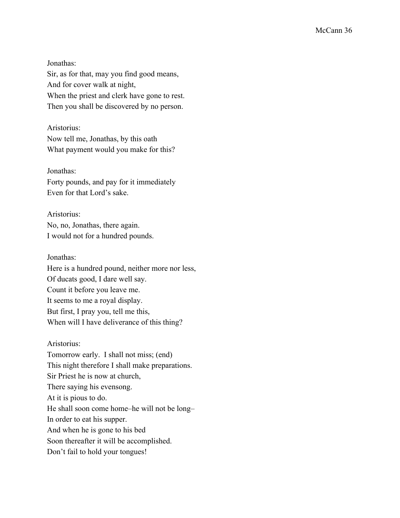Jonathas: Sir, as for that, may you find good means, And for cover walk at night, When the priest and clerk have gone to rest. Then you shall be discovered by no person.

Aristorius: Now tell me, Jonathas, by this oath

What payment would you make for this?

## Jonathas:

Forty pounds, and pay for it immediately Even for that Lord's sake.

Aristorius: No, no, Jonathas, there again. I would not for a hundred pounds.

Jonathas: Here is a hundred pound, neither more nor less, Of ducats good, I dare well say. Count it before you leave me. It seems to me a royal display. But first, I pray you, tell me this, When will I have deliverance of this thing?

## Aristorius:

Tomorrow early. I shall not miss; (end) This night therefore I shall make preparations. Sir Priest he is now at church, There saying his evensong. At it is pious to do. He shall soon come home–he will not be long– In order to eat his supper. And when he is gone to his bed Soon thereafter it will be accomplished. Don't fail to hold your tongues!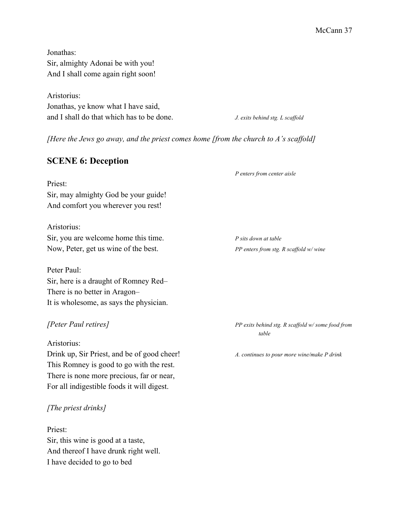Jonathas: Sir, almighty Adonai be with you! And I shall come again right soon!

Aristorius: Jonathas, ye know what I have said, and I shall do that which has to be done. *J. exits behind stg. L scaffold* 

*[Here the Jews go away, and the priest comes home [from the church to A's scaf old]*

## **SCENE 6: Deception**

*P enters from center aisle*

Priest: Sir, may almighty God be your guide! And comfort you wherever you rest!

Aristorius: Sir, you are welcome home this time. *P sits down at table* Now, Peter, get us wine of the best. *PP enters from stg. R scaffold w/ wine* 

Peter Paul: Sir, here is a draught of Romney Red– There is no better in Aragon– It is wholesome, as says the physician.

Aristorius:

Drink up, Sir Priest, and be of good cheer! *A. continues to pour more wine/make P drink* This Romney is good to go with the rest. There is none more precious, far or near, For all indigestible foods it will digest.

#### *[The priest drinks]*

Priest: Sir, this wine is good at a taste, And thereof I have drunk right well. I have decided to go to bed

*[Peter Paul retires] PP exits behind stg. R scaf old w/ some food from table*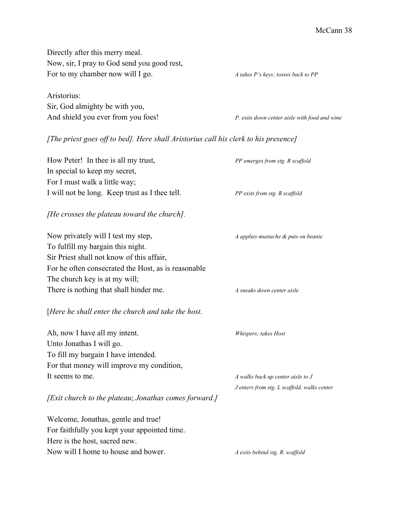Directly after this merry meal. Now, sir, I pray to God send you good rest, For to my chamber now will I go. *A takes P's keys; tosses back to PP* Aristorius: Sir, God almighty be with you, And shield you ever from you foes! *P. exits down center aisle with food and wine [The priest goes of to bed]. Here shall Aristorius call his clerk to his presence]* How Peter! In thee is all my trust, *PP emerges from stg. R scaf old* In special to keep my secret, For I must walk a little way; I will not be long. Keep trust as I thee tell. *PP exits from stg. R scaffold [He crosses the plateau toward the church].* Now privately will I test my step, *A applies mustache & puts on beanie* To fulfill my bargain this night. Sir Priest shall not know of this affair, For he often consecrated the Host, as is reasonable The church key is at my will; There is nothing that shall hinder me. *A sneaks down center aisle* [*Here he shall enter the church and take the host.* Ah, now I have all my intent. *Whispers; takes Host* Unto Jonathas I will go. To fill my bargain I have intended. For that money will improve my condition, It seems to me. *A walks back up center aisle to J J enters from stg. L scaf old, walks center [Exit church to the plateau*; *Jonathas comes forward.]* Welcome, Jonathas, gentle and true! For faithfully you kept your appointed time. Here is the host, sacred new. Now will I home to house and bower. *A exits behind stg. R. scaf old*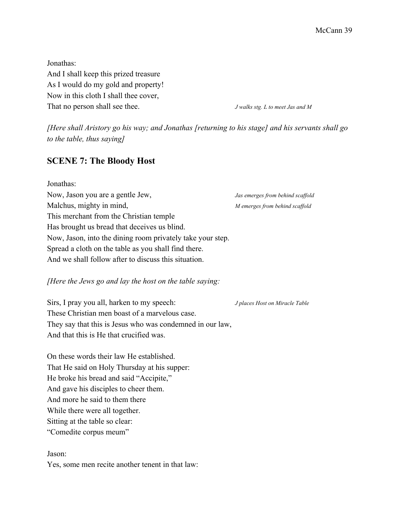Jonathas: And I shall keep this prized treasure As I would do my gold and property! Now in this cloth I shall thee cover, That no person shall see thee. *J walks stg. L to meet Jas and M*

*[Here shall Aristory go his way; and Jonathas [returning to his stage] and his servants shall go to the table, thus saying]*

## **SCENE 7: The Bloody Host**

| Jonathas:                                                  |                                  |
|------------------------------------------------------------|----------------------------------|
| Now, Jason you are a gentle Jew,                           | Jas emerges from behind scaffold |
| Malchus, mighty in mind,                                   | M emerges from behind scaffold   |
| This merchant from the Christian temple.                   |                                  |
| Has brought us bread that deceives us blind.               |                                  |
| Now, Jason, into the dining room privately take your step. |                                  |
| Spread a cloth on the table as you shall find there.       |                                  |
| And we shall follow after to discuss this situation.       |                                  |

#### *[Here the Jews go and lay the host on the table saying:*

Sirs, I pray you all, harken to my speech: *J places Host on Miracle Table* These Christian men boast of a marvelous case. They say that this is Jesus who was condemned in our law, And that this is He that crucified was.

On these words their law He established. That He said on Holy Thursday at his supper: He broke his bread and said "Accipite," And gave his disciples to cheer them. And more he said to them there While there were all together. Sitting at the table so clear: "Comedite corpus meum"

Jason:

Yes, some men recite another tenent in that law: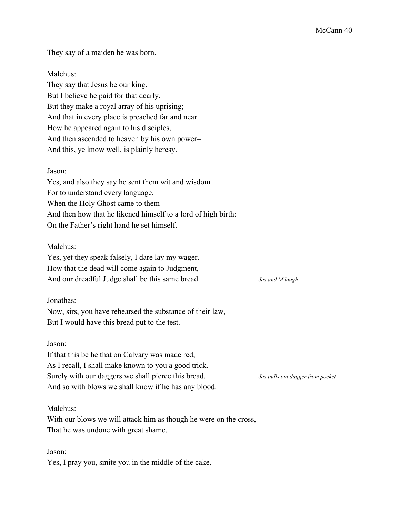They say of a maiden he was born.

### Malchus:

They say that Jesus be our king. But I believe he paid for that dearly. But they make a royal array of his uprising; And that in every place is preached far and near How he appeared again to his disciples, And then ascended to heaven by his own power– And this, ye know well, is plainly heresy.

#### Jason:

Yes, and also they say he sent them wit and wisdom For to understand every language, When the Holy Ghost came to them– And then how that he likened himself to a lord of high birth: On the Father's right hand he set himself.

#### Malchus:

Yes, yet they speak falsely, I dare lay my wager. How that the dead will come again to Judgment, And our dreadful Judge shall be this same bread. *Jas and M laugh*

#### Jonathas:

Now, sirs, you have rehearsed the substance of their law, But I would have this bread put to the test.

#### Jason:

If that this be he that on Calvary was made red, As I recall, I shall make known to you a good trick. Surely with our daggers we shall pierce this bread. *Jas pulls out dagger from pocket* And so with blows we shall know if he has any blood.

#### Malchus:

With our blows we will attack him as though he were on the cross, That he was undone with great shame.

Jason: Yes, I pray you, smite you in the middle of the cake,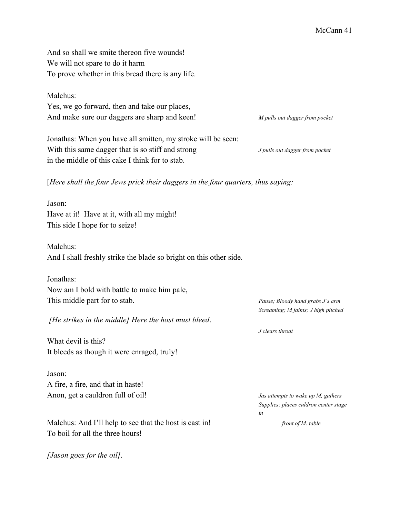And so shall we smite thereon five wounds! We will not spare to do it harm To prove whether in this bread there is any life.

#### Malchus:

Yes, we go forward, then and take our places, And make sure our daggers are sharp and keen! *M pulls out dagger from pocket*

Jonathas: When you have all smitten, my stroke will be seen: With this same dagger that is so stiff and strong *J pulls out dagger from pocket* in the middle of this cake I think for to stab.

[*Here shall the four Jews prick their daggers in the four quarters, thus saying:*

Jason: Have at it! Have at it, with all my might! This side I hope for to seize!

Malchus: And I shall freshly strike the blade so bright on this other side.

Jonathas: Now am I bold with battle to make him pale, This middle part for to stab. *Pause; Bloody hand grabs J's arm*

*[He strikes in the middle] Here the host must bleed*.

What devil is this? It bleeds as though it were enraged, truly!

Jason: A fire, a fire, and that in haste! Anon, get a cauldron full of oil! *Jas attempts to wake up M, gathers*

Malchus: And I'll help to see that the host is cast in! *front of M. table* To boil for all the three hours!

*[Jason goes for the oil]*.

*Screaming; M faints; J high pitched*

*J clears throat*

*Supplies; places culdron center stage in*

McCann 41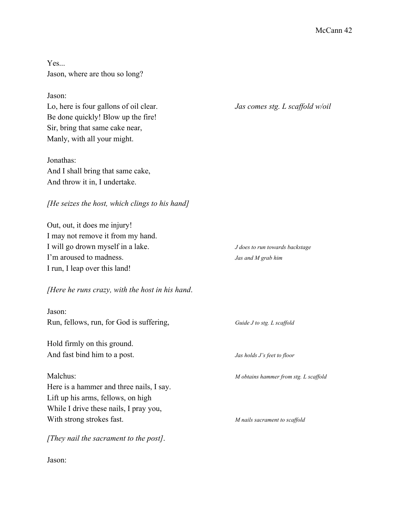Yes... Jason, where are thou so long?

#### Jason:

Lo, here is four gallons of oil clear. *Jas comes stg. L scaffold w/oil* Be done quickly! Blow up the fire! Sir, bring that same cake near, Manly, with all your might.

Jonathas: And I shall bring that same cake, And throw it in, I undertake.

### *[He seizes the host, which clings to his hand]*

Out, out, it does me injury! I may not remove it from my hand. I will go drown myself in a lake. *J does to run towards backstage* I'm aroused to madness. *Jas and M grab him* I run, I leap over this land!

## *[Here he runs crazy, with the host in his hand*.

# Jason:

Hold firmly on this ground. And fast bind him to a post. *Jas holds J's feet to floor*

Here is a hammer and three nails, I say. Lift up his arms, fellows, on high While I drive these nails, I pray you, With strong strokes fast. *M nails sacrament to scaf old*

*[They nail the sacrament to the post]*.

Jason:

Run, fellows, run, for God is suffering, *Guide J to stg. L scaf old*

Malchus: *M obtains hammer from stg. L scaf old*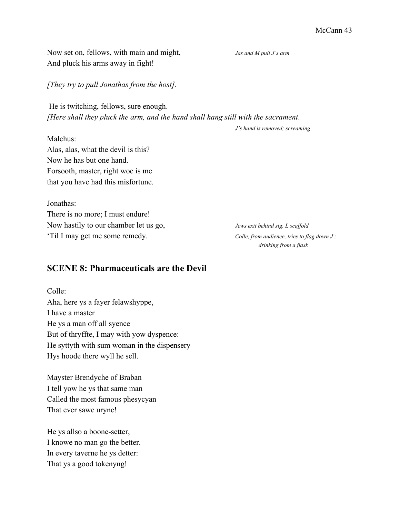Now set on, fellows, with main and might, *Jas and M pull J's arm* And pluck his arms away in fight!

*[They try to pull Jonathas from the host].*

He is twitching, fellows, sure enough. *[Here shall they pluck the arm, and the hand shall hang still with the sacrament*.

*J's hand is removed; screaming*

Malchus: Alas, alas, what the devil is this? Now he has but one hand. Forsooth, master, right woe is me that you have had this misfortune.

Jonathas: There is no more; I must endure! Now hastily to our chamber let us go, *Jews exit behind stg. L scaffold* 'Til I may get me some remedy. *Colle, from audience, tries to flag down J ;*

*drinking from a flask*

## **SCENE 8: Pharmaceuticals are the Devil**

Colle: Aha, here ys a fayer felawshyppe, I have a master He ys a man off all syence But of thryffte, I may with yow dyspence: He syttyth with sum woman in the dispensery— Hys hoode there wyll he sell.

Mayster Brendyche of Braban — I tell yow he ys that same man — Called the most famous phesycyan That ever sawe uryne!

He ys allso a boone-setter, I knowe no man go the better. In every taverne he ys detter: That ys a good tokenyng!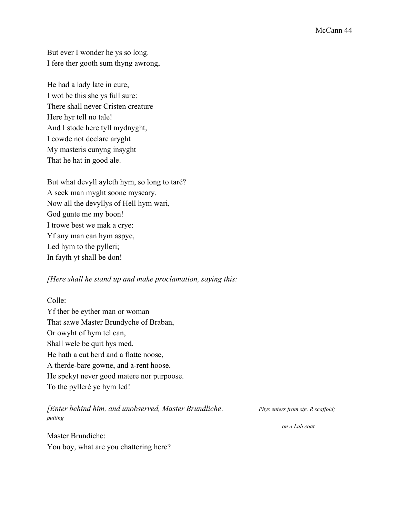But ever I wonder he ys so long. I fere ther gooth sum thyng awrong,

He had a lady late in cure, I wot be this she ys full sure: There shall never Cristen creature Here hyr tell no tale! And I stode here tyll mydnyght, I cowde not declare aryght My masteris cunyng insyght That he hat in good ale.

But what devyll ayleth hym, so long to taré? A seek man myght soone myscary. Now all the devyllys of Hell hym wari, God gunte me my boon! I trowe best we mak a crye: Yf any man can hym aspye, Led hym to the pylleri; In fayth yt shall be don!

#### *[Here shall he stand up and make proclamation, saying this:*

Colle: Yf ther be eyther man or woman That sawe Master Brundyche of Braban, Or owyht of hym tel can, Shall wele be quit hys med. He hath a cut berd and a flatte noose, A therde-bare gowne, and a-rent hoose. He spekyt never good matere nor purpoose. To the pylleré ye hym led!

### *[Enter behind him, and unobserved, Master Brundliche*. *Phys enters from stg. R scaf old; putting*

Master Brundiche: You boy, what are you chattering here?

*on a Lab coat*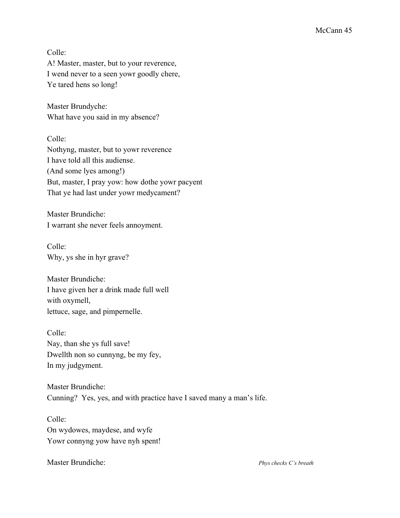Colle:

A! Master, master, but to your reverence, I wend never to a seen yowr goodly chere, Ye tared hens so long!

Master Brundyche: What have you said in my absence?

Colle: Nothyng, master, but to yowr reverence I have told all this audiense. (And some lyes among!) But, master, I pray yow: how dothe yowr pacyent That ye had last under yowr medycament?

Master Brundiche: I warrant she never feels annoyment.

Colle: Why, ys she in hyr grave?

Master Brundiche: I have given her a drink made full well with oxymell, lettuce, sage, and pimpernelle.

Colle: Nay, than she ys full save! Dwellth non so cunnyng, be my fey, In my judgyment.

Master Brundiche: Cunning? Yes, yes, and with practice have I saved many a man's life.

Colle: On wydowes, maydese, and wyfe Yowr connyng yow have nyh spent!

Master Brundiche: *Phys checks C's breath*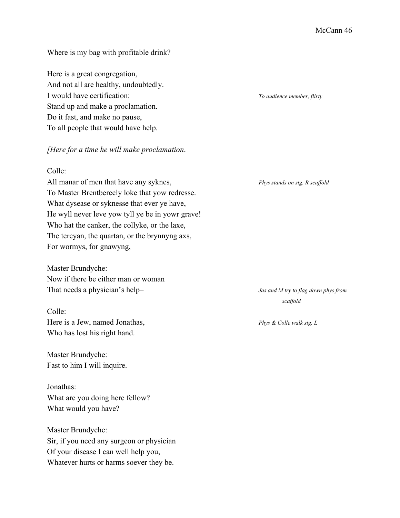#### Where is my bag with profitable drink?

Here is a great congregation, And not all are healthy, undoubtedly. I would have certification: *To audience member, flirty* Stand up and make a proclamation. Do it fast, and make no pause, To all people that would have help.

#### *[Here for a time he will make proclamation*.

### Colle:

All manar of men that have any syknes, *Phys stands on stg. R scaffold* To Master Brentberecly loke that yow redresse. What dysease or syknesse that ever ye have, He wyll never leve yow tyll ye be in yowr grave! Who hat the canker, the collyke, or the laxe, The tercyan, the quartan, or the brynnyng axs, For wormys, for gnawyng,—

Master Brundyche: Now if there be either man or woman That needs a physician's help– *Jas and M try to flag down phys from*

#### Colle:

Here is a Jew, named Jonathas, *Phys & Colle walk stg. L* Who has lost his right hand.

Master Brundyche: Fast to him I will inquire.

Jonathas: What are you doing here fellow? What would you have?

Master Brundyche: Sir, if you need any surgeon or physician Of your disease I can well help you, Whatever hurts or harms soever they be.

*scaf old*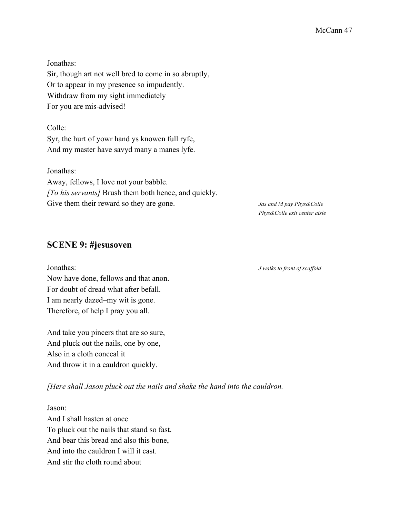Jonathas: Sir, though art not well bred to come in so abruptly, Or to appear in my presence so impudently. Withdraw from my sight immediately For you are mis-advised!

Colle: Syr, the hurt of yowr hand ys knowen full ryfe, And my master have savyd many a manes lyfe.

Jonathas: Away, fellows, I love not your babble. *[To his servants]* Brush them both hence, and quickly. Give them their reward so they are gone. *Jas and M pay Phys&Colle* 

*Phys&Colle exit center aisle*

## **SCENE 9: #jesusoven**

Now have done, fellows and that anon. For doubt of dread what after befall. I am nearly dazed–my wit is gone. Therefore, of help I pray you all.

And take you pincers that are so sure, And pluck out the nails, one by one, Also in a cloth conceal it And throw it in a cauldron quickly.

*[Here shall Jason pluck out the nails and shake the hand into the cauldron.*

Jason: And I shall hasten at once To pluck out the nails that stand so fast. And bear this bread and also this bone, And into the cauldron I will it cast. And stir the cloth round about

Jonathas: *J walks to front of scaf old*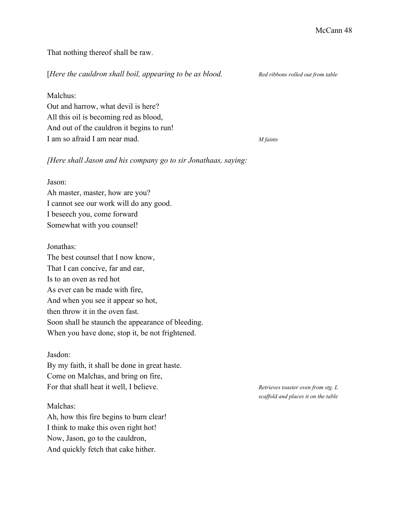That nothing thereof shall be raw.

[*Here the cauldron shall boil, appearing to be as blood. Red ribbons rolled out from table*

Malchus:

Out and harrow, what devil is here? All this oil is becoming red as blood, And out of the cauldron it begins to run! I am so afraid I am near mad. *M faints*

*[Here shall Jason and his company go to sir Jonathaas, saying:*

#### Jason:

Ah master, master, how are you? I cannot see our work will do any good. I beseech you, come forward Somewhat with you counsel!

#### Jonathas:

The best counsel that I now know, That I can concive, far and ear, Is to an oven as red hot As ever can be made with fire, And when you see it appear so hot, then throw it in the oven fast. Soon shall he staunch the appearance of bleeding. When you have done, stop it, be not frightened.

#### Jasdon:

By my faith, it shall be done in great haste. Come on Malchas, and bring on fire, For that shall heat it well, I believe. *Retrieves toaster oven from stg. L* 

#### Malchas:

Ah, how this fire begins to burn clear! I think to make this oven right hot! Now, Jason, go to the cauldron, And quickly fetch that cake hither.

*scaf old and places it on the table*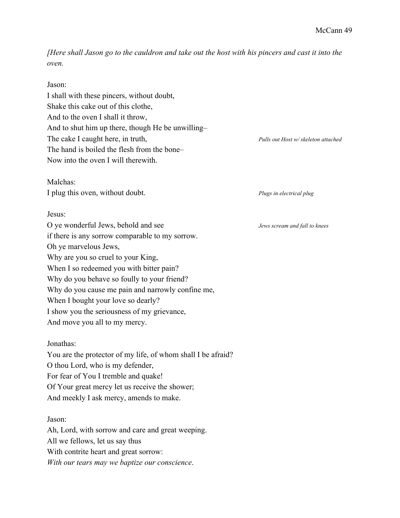[Here shall Jason go to the cauldron and take out the host with his pincers and cast it into the *oven.*

| Jason:                                                       |                                     |
|--------------------------------------------------------------|-------------------------------------|
| I shall with these pincers, without doubt,                   |                                     |
| Shake this cake out of this clothe,                          |                                     |
| And to the oven I shall it throw,                            |                                     |
| And to shut him up there, though He be unwilling-            |                                     |
| The cake I caught here, in truth,                            | Pulls out Host w/ skeleton attached |
| The hand is boiled the flesh from the bone-                  |                                     |
| Now into the oven I will therewith.                          |                                     |
| Malchas:                                                     |                                     |
| I plug this oven, without doubt.                             | Plugs in electrical plug            |
| Jesus:                                                       |                                     |
| O ye wonderful Jews, behold and see                          | Jews scream and fall to knees       |
| if there is any sorrow comparable to my sorrow.              |                                     |
| Oh ye marvelous Jews,                                        |                                     |
| Why are you so cruel to your King,                           |                                     |
| When I so redeemed you with bitter pain?                     |                                     |
| Why do you behave so foully to your friend?                  |                                     |
| Why do you cause me pain and narrowly confine me,            |                                     |
| When I bought your love so dearly?                           |                                     |
| I show you the seriousness of my grievance,                  |                                     |
| And move you all to my mercy.                                |                                     |
| Jonathas:                                                    |                                     |
| You are the protector of my life, of whom shall I be afraid? |                                     |
| O thou Lord, who is my defender,                             |                                     |
| For fear of You I tremble and quake!                         |                                     |
| Of Your great mercy let us receive the shower;               |                                     |
| And meekly I ask mercy, amends to make.                      |                                     |
| Jason:                                                       |                                     |
| Ah, Lord, with sorrow and care and great weeping.            |                                     |
| All we fellows, let us say thus                              |                                     |
| With contrite heart and great sorrow:                        |                                     |

*With our tears may we baptize our conscience*.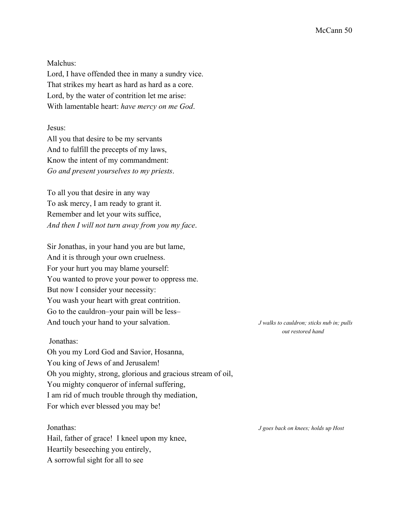Malchus:

Lord, I have offended thee in many a sundry vice. That strikes my heart as hard as hard as a core. Lord, by the water of contrition let me arise: With lamentable heart: *have mercy on me God*.

Jesus:

All you that desire to be my servants And to fulfill the precepts of my laws, Know the intent of my commandment: *Go and present yourselves to my priests*.

To all you that desire in any way To ask mercy, I am ready to grant it. Remember and let your wits suffice, *And then I will not turn away from you my face*.

Sir Jonathas, in your hand you are but lame, And it is through your own cruelness. For your hurt you may blame yourself: You wanted to prove your power to oppress me. But now I consider your necessity: You wash your heart with great contrition. Go to the cauldron–your pain will be less– And touch your hand to your salvation. *J walks to cauldron; sticks nub in; pulls*

#### Jonathas:

Oh you my Lord God and Savior, Hosanna, You king of Jews of and Jerusalem! Oh you mighty, strong, glorious and gracious stream of oil, You mighty conqueror of infernal suffering, I am rid of much trouble through thy mediation, For which ever blessed you may be!

Hail, father of grace! I kneel upon my knee, Heartily beseeching you entirely, A sorrowful sight for all to see

*out restored hand*

Jonathas: *J goes back on knees; holds up Host*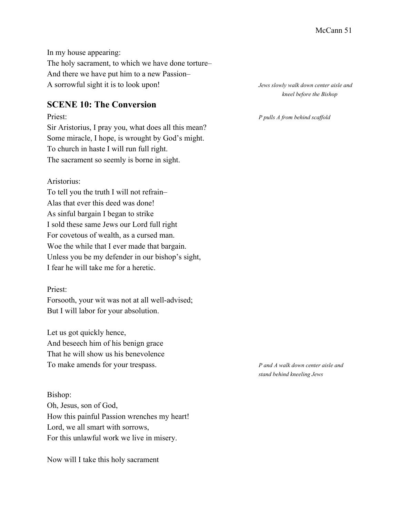In my house appearing: The holy sacrament, to which we have done torture– And there we have put him to a new Passion– A sorrowful sight it is to look upon! *Jews slowly walk down center aisle and*

## **SCENE 10: The Conversion**

Sir Aristorius, I pray you, what does all this mean? Some miracle, I hope, is wrought by God's might. To church in haste I will run full right. The sacrament so seemly is borne in sight.

#### Aristorius:

To tell you the truth I will not refrain– Alas that ever this deed was done! As sinful bargain I began to strike I sold these same Jews our Lord full right For covetous of wealth, as a cursed man. Woe the while that I ever made that bargain. Unless you be my defender in our bishop's sight, I fear he will take me for a heretic.

#### Priest:

Forsooth, your wit was not at all well-advised; But I will labor for your absolution.

Let us got quickly hence, And beseech him of his benign grace That he will show us his benevolence To make amends for your trespass. *P and A walk down center aisle and*

Bishop: Oh, Jesus, son of God, How this painful Passion wrenches my heart! Lord, we all smart with sorrows, For this unlawful work we live in misery.

Now will I take this holy sacrament

*kneel before the Bishop*

Priest: *P pulls A from behind scaf old*

*stand behind kneeling Jews*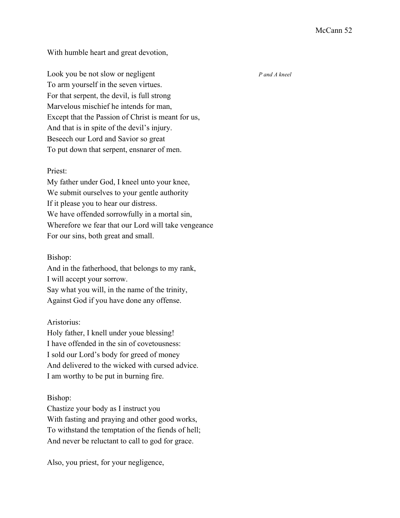With humble heart and great devotion,

Look you be not slow or negligent *P and A kneel* To arm yourself in the seven virtues. For that serpent, the devil, is full strong Marvelous mischief he intends for man, Except that the Passion of Christ is meant for us, And that is in spite of the devil's injury. Beseech our Lord and Savior so great To put down that serpent, ensnarer of men.

#### Priest:

My father under God, I kneel unto your knee, We submit ourselves to your gentle authority If it please you to hear our distress. We have offended sorrowfully in a mortal sin, Wherefore we fear that our Lord will take vengeance For our sins, both great and small.

#### Bishop:

And in the fatherhood, that belongs to my rank, I will accept your sorrow. Say what you will, in the name of the trinity, Against God if you have done any offense.

#### Aristorius:

Holy father, I knell under youe blessing! I have offended in the sin of covetousness: I sold our Lord's body for greed of money And delivered to the wicked with cursed advice. I am worthy to be put in burning fire.

#### Bishop:

Chastize your body as I instruct you With fasting and praying and other good works, To withstand the temptation of the fiends of hell; And never be reluctant to call to god for grace.

Also, you priest, for your negligence,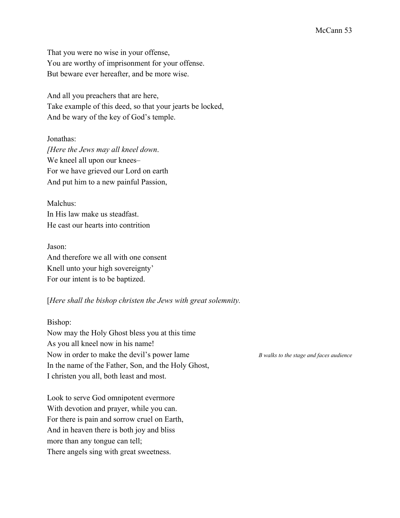That you were no wise in your offense, You are worthy of imprisonment for your offense. But beware ever hereafter, and be more wise.

And all you preachers that are here, Take example of this deed, so that your jearts be locked, And be wary of the key of God's temple.

Jonathas: *[Here the Jews may all kneel down*. We kneel all upon our knees– For we have grieved our Lord on earth And put him to a new painful Passion,

Malchus: In His law make us steadfast. He cast our hearts into contrition

Jason: And therefore we all with one consent Knell unto your high sovereignty' For our intent is to be baptized.

#### [*Here shall the bishop christen the Jews with great solemnity.*

Bishop:

Now may the Holy Ghost bless you at this time As you all kneel now in his name! Now in order to make the devil's power lame *B walks to the stage and faces audience* In the name of the Father, Son, and the Holy Ghost, I christen you all, both least and most.

Look to serve God omnipotent evermore With devotion and prayer, while you can. For there is pain and sorrow cruel on Earth, And in heaven there is both joy and bliss more than any tongue can tell; There angels sing with great sweetness.